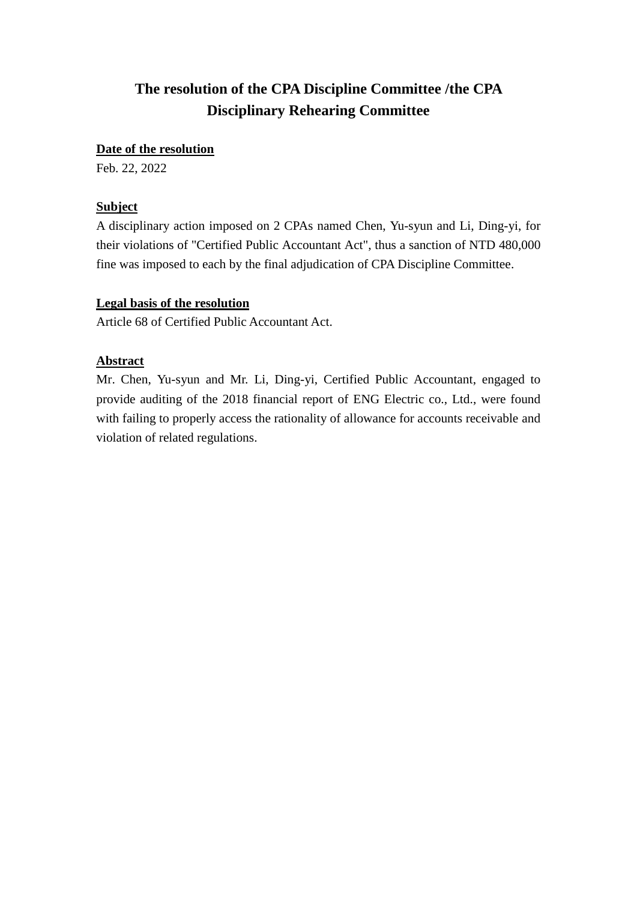# **The resolution of the CPA Discipline Committee /the CPA Disciplinary Rehearing Committee**

### **Date of the resolution**

Feb. 22, 2022

## **Subject**

A disciplinary action imposed on 2 CPAs named Chen, Yu-syun and Li, Ding-yi, for their violations of "Certified Public Accountant Act", thus a sanction of NTD 480,000 fine was imposed to each by the final adjudication of CPA Discipline Committee.

## **Legal basis of the resolution**

Article 68 of Certified Public Accountant Act.

## **Abstract**

Mr. Chen, Yu-syun and Mr. Li, Ding-yi, Certified Public Accountant, engaged to provide auditing of the 2018 financial report of ENG Electric co., Ltd., were found with failing to properly access the rationality of allowance for accounts receivable and violation of related regulations.